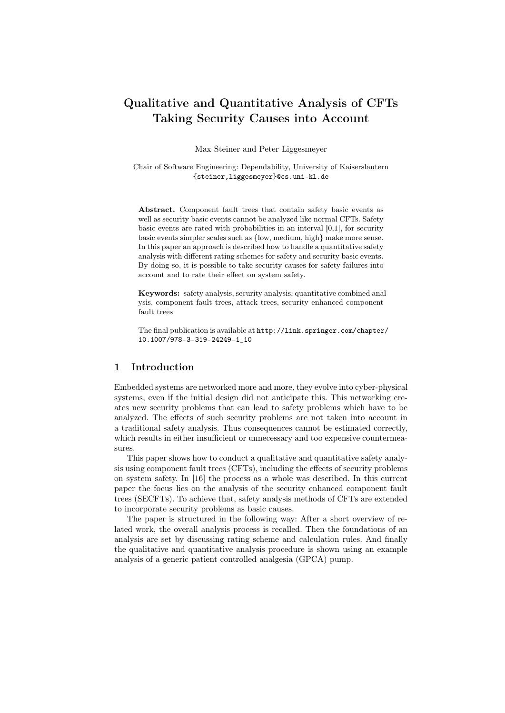# Qualitative and Quantitative Analysis of CFTs Taking Security Causes into Account

Max Steiner and Peter Liggesmeyer

Chair of Software Engineering: Dependability, University of Kaiserslautern {steiner,liggesmeyer}@cs.uni-kl.de

Abstract. Component fault trees that contain safety basic events as well as security basic events cannot be analyzed like normal CFTs. Safety basic events are rated with probabilities in an interval [0,1], for security basic events simpler scales such as {low, medium, high} make more sense. In this paper an approach is described how to handle a quantitative safety analysis with different rating schemes for safety and security basic events. By doing so, it is possible to take security causes for safety failures into account and to rate their effect on system safety.

Keywords: safety analysis, security analysis, quantitative combined analysis, component fault trees, attack trees, security enhanced component fault trees

The final publication is available at [http://link.springer.com/chapter](http://link.springer.com/chapter/10.1007/978-3-319-24249-1_10)/ [10.1007/978-3-319-24249-1\\_10](http://link.springer.com/chapter/10.1007/978-3-319-24249-1_10)

# 1 Introduction

Embedded systems are networked more and more, they evolve into cyber-physical systems, even if the initial design did not anticipate this. This networking creates new security problems that can lead to safety problems which have to be analyzed. The effects of such security problems are not taken into account in a traditional safety analysis. Thus consequences cannot be estimated correctly, which results in either insufficient or unnecessary and too expensive countermeasures.

This paper shows how to conduct a qualitative and quantitative safety analysis using component fault trees (CFTs), including the effects of security problems on system safety. In [\[16\]](#page-11-0) the process as a whole was described. In this current paper the focus lies on the analysis of the security enhanced component fault trees (SECFTs). To achieve that, safety analysis methods of CFTs are extended to incorporate security problems as basic causes.

The paper is structured in the following way: After a short overview of related work, the overall analysis process is recalled. Then the foundations of an analysis are set by discussing rating scheme and calculation rules. And finally the qualitative and quantitative analysis procedure is shown using an example analysis of a generic patient controlled analgesia (GPCA) pump.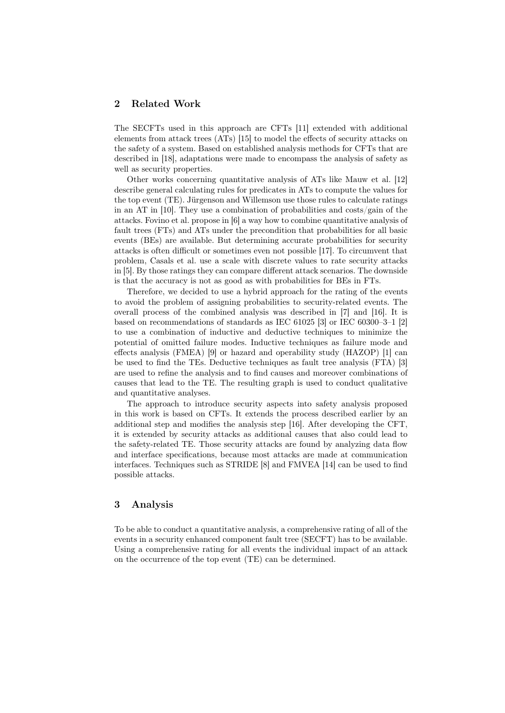## 2 Related Work

The SECFTs used in this approach are CFTs [\[11\]](#page-11-1) extended with additional elements from attack trees (ATs) [\[15\]](#page-11-2) to model the effects of security attacks on the safety of a system. Based on established analysis methods for CFTs that are described in [\[18\]](#page-11-3), adaptations were made to encompass the analysis of safety as well as security properties.

Other works concerning quantitative analysis of ATs like Mauw et al. [\[12\]](#page-11-4) describe general calculating rules for predicates in ATs to compute the values for the top event (TE). Jürgenson and Willemson use those rules to calculate ratings in an AT in [\[10\]](#page-11-5). They use a combination of probabilities and costs/gain of the attacks. Fovino et al. propose in [\[6\]](#page-11-6) a way how to combine quantitative analysis of fault trees (FTs) and ATs under the precondition that probabilities for all basic events (BEs) are available. But determining accurate probabilities for security attacks is often difficult or sometimes even not possible [\[17\]](#page-11-7). To circumvent that problem, Casals et al. use a scale with discrete values to rate security attacks in [\[5\]](#page-11-8). By those ratings they can compare different attack scenarios. The downside is that the accuracy is not as good as with probabilities for BEs in FTs.

Therefore, we decided to use a hybrid approach for the rating of the events to avoid the problem of assigning probabilities to security-related events. The overall process of the combined analysis was described in [\[7\]](#page-11-9) and [\[16\]](#page-11-0). It is based on recommendations of standards as IEC 61025 [\[3\]](#page-11-10) or IEC 60300–3–1 [\[2\]](#page-10-0) to use a combination of inductive and deductive techniques to minimize the potential of omitted failure modes. Inductive techniques as failure mode and effects analysis (FMEA) [\[9\]](#page-11-11) or hazard and operability study (HAZOP) [\[1\]](#page-10-1) can be used to find the TEs. Deductive techniques as fault tree analysis (FTA) [\[3\]](#page-11-10) are used to refine the analysis and to find causes and moreover combinations of causes that lead to the TE. The resulting graph is used to conduct qualitative and quantitative analyses.

The approach to introduce security aspects into safety analysis proposed in this work is based on CFTs. It extends the process described earlier by an additional step and modifies the analysis step [\[16\]](#page-11-0). After developing the CFT, it is extended by security attacks as additional causes that also could lead to the safety-related TE. Those security attacks are found by analyzing data flow and interface specifications, because most attacks are made at communication interfaces. Techniques such as STRIDE [\[8\]](#page-11-12) and FMVEA [\[14\]](#page-11-13) can be used to find possible attacks.

# 3 Analysis

To be able to conduct a quantitative analysis, a comprehensive rating of all of the events in a security enhanced component fault tree (SECFT) has to be available. Using a comprehensive rating for all events the individual impact of an attack on the occurrence of the top event (TE) can be determined.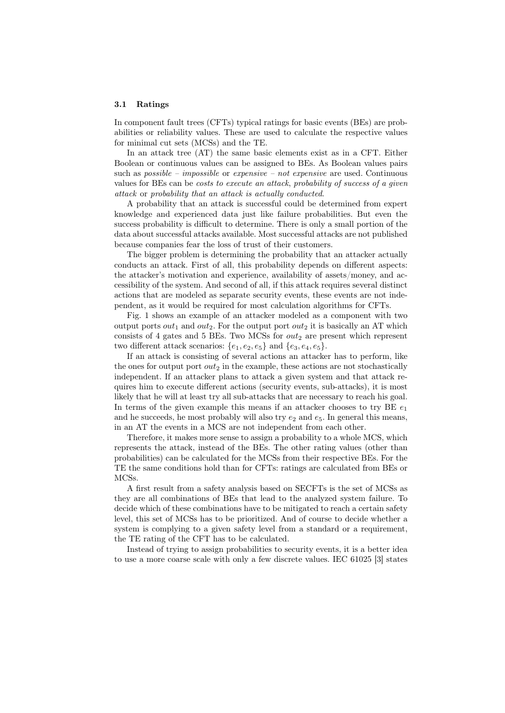#### <span id="page-2-0"></span>3.1 Ratings

In component fault trees (CFTs) typical ratings for basic events (BEs) are probabilities or reliability values. These are used to calculate the respective values for minimal cut sets (MCSs) and the TE.

In an attack tree (AT) the same basic elements exist as in a CFT. Either Boolean or continuous values can be assigned to BEs. As Boolean values pairs such as *possible – impossible* or *expensive – not expensive* are used. Continuous values for BEs can be costs to execute an attack, probability of success of a given attack or probability that an attack is actually conducted.

A probability that an attack is successful could be determined from expert knowledge and experienced data just like failure probabilities. But even the success probability is difficult to determine. There is only a small portion of the data about successful attacks available. Most successful attacks are not published because companies fear the loss of trust of their customers.

The bigger problem is determining the probability that an attacker actually conducts an attack. First of all, this probability depends on different aspects: the attacker's motivation and experience, availability of assets/money, and accessibility of the system. And second of all, if this attack requires several distinct actions that are modeled as separate security events, these events are not independent, as it would be required for most calculation algorithms for CFTs.

Fig. [1](#page-3-0) shows an example of an attacker modeled as a component with two output ports  $out_1$  and  $out_2$ . For the output port  $out_2$  it is basically an AT which consists of 4 gates and 5 BEs. Two MCSs for  $out_2$  are present which represent two different attack scenarios:  $\{e_1, e_2, e_5\}$  and  $\{e_3, e_4, e_5\}$ .

If an attack is consisting of several actions an attacker has to perform, like the ones for output port  $out_2$  in the example, these actions are not stochastically independent. If an attacker plans to attack a given system and that attack requires him to execute different actions (security events, sub-attacks), it is most likely that he will at least try all sub-attacks that are necessary to reach his goal. In terms of the given example this means if an attacker chooses to try BE  $e_1$ and he succeeds, he most probably will also try  $e_2$  and  $e_5$ . In general this means, in an AT the events in a MCS are not independent from each other.

Therefore, it makes more sense to assign a probability to a whole MCS, which represents the attack, instead of the BEs. The other rating values (other than probabilities) can be calculated for the MCSs from their respective BEs. For the TE the same conditions hold than for CFTs: ratings are calculated from BEs or MCSs.

A first result from a safety analysis based on SECFTs is the set of MCSs as they are all combinations of BEs that lead to the analyzed system failure. To decide which of these combinations have to be mitigated to reach a certain safety level, this set of MCSs has to be prioritized. And of course to decide whether a system is complying to a given safety level from a standard or a requirement, the TE rating of the CFT has to be calculated.

Instead of trying to assign probabilities to security events, it is a better idea to use a more coarse scale with only a few discrete values. IEC 61025 [\[3\]](#page-11-10) states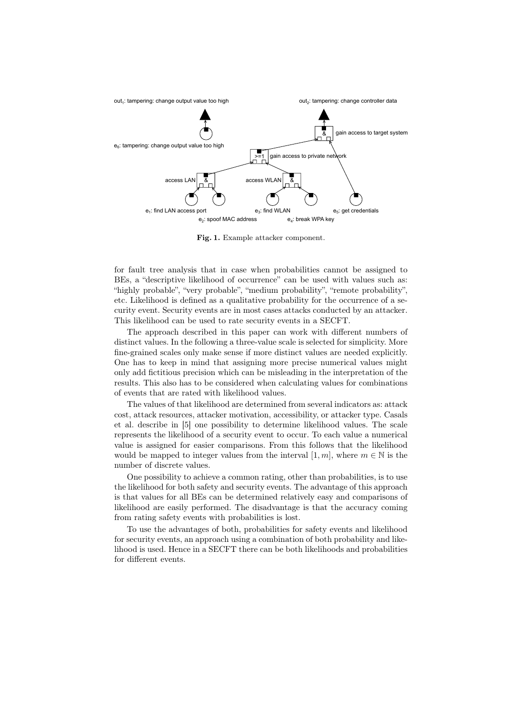

<span id="page-3-0"></span>Fig. 1. Example attacker component.

for fault tree analysis that in case when probabilities cannot be assigned to BEs, a "descriptive likelihood of occurrence" can be used with values such as: "highly probable", "very probable", "medium probability", "remote probability", etc. Likelihood is defined as a qualitative probability for the occurrence of a security event. Security events are in most cases attacks conducted by an attacker. This likelihood can be used to rate security events in a SECFT.

The approach described in this paper can work with different numbers of distinct values. In the following a three-value scale is selected for simplicity. More fine-grained scales only make sense if more distinct values are needed explicitly. One has to keep in mind that assigning more precise numerical values might only add fictitious precision which can be misleading in the interpretation of the results. This also has to be considered when calculating values for combinations of events that are rated with likelihood values.

The values of that likelihood are determined from several indicators as: attack cost, attack resources, attacker motivation, accessibility, or attacker type. Casals et al. describe in [\[5\]](#page-11-8) one possibility to determine likelihood values. The scale represents the likelihood of a security event to occur. To each value a numerical value is assigned for easier comparisons. From this follows that the likelihood would be mapped to integer values from the interval  $[1, m]$ , where  $m \in \mathbb{N}$  is the number of discrete values.

One possibility to achieve a common rating, other than probabilities, is to use the likelihood for both safety and security events. The advantage of this approach is that values for all BEs can be determined relatively easy and comparisons of likelihood are easily performed. The disadvantage is that the accuracy coming from rating safety events with probabilities is lost.

To use the advantages of both, probabilities for safety events and likelihood for security events, an approach using a combination of both probability and likelihood is used. Hence in a SECFT there can be both likelihoods and probabilities for different events.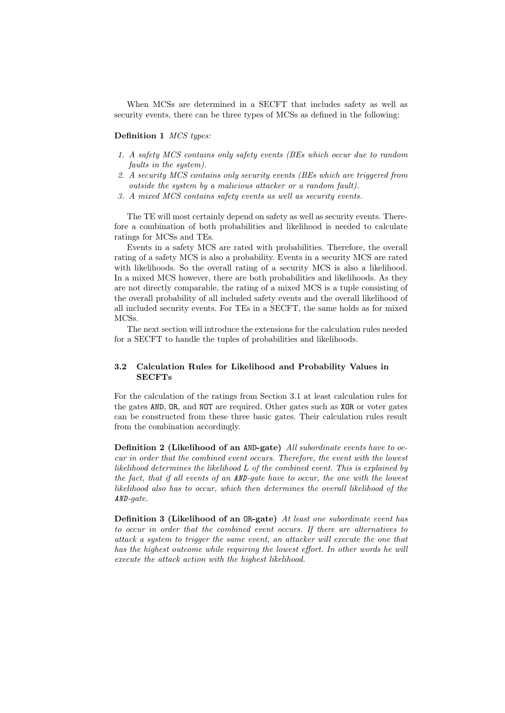When MCSs are determined in a SECFT that includes safety as well as security events, there can be three types of MCSs as defined in the following:

#### <span id="page-4-1"></span>Definition 1 MCS types:

- 1. A safety MCS contains only safety events (BEs which occur due to random faults in the system).
- 2. A security MCS contains only security events (BEs which are triggered from outside the system by a malicious attacker or a random fault).
- 3. A mixed MCS contains safety events as well as security events.

The TE will most certainly depend on safety as well as security events. Therefore a combination of both probabilities and likelihood is needed to calculate ratings for MCSs and TEs.

Events in a safety MCS are rated with probabilities. Therefore, the overall rating of a safety MCS is also a probability. Events in a security MCS are rated with likelihoods. So the overall rating of a security MCS is also a likelihood. In a mixed MCS however, there are both probabilities and likelihoods. As they are not directly comparable, the rating of a mixed MCS is a tuple consisting of the overall probability of all included safety events and the overall likelihood of all included security events. For TEs in a SECFT, the same holds as for mixed MCSs.

The next section will introduce the extensions for the calculation rules needed for a SECFT to handle the tuples of probabilities and likelihoods.

#### <span id="page-4-0"></span>3.2 Calculation Rules for Likelihood and Probability Values in **SECFTs**

For the calculation of the ratings from Section [3.1](#page-2-0) at least calculation rules for the gates AND, OR, and NOT are required. Other gates such as XOR or voter gates can be constructed from these three basic gates. Their calculation rules result from the combination accordingly.

Definition 2 (Likelihood of an AND-gate) All subordinate events have to occur in order that the combined event occurs. Therefore, the event with the lowest likelihood determines the likelihood L of the combined event. This is explained by the fact, that if all events of an AND-gate have to occur, the one with the lowest likelihood also has to occur, which then determines the overall likelihood of the AND-gate.

Definition 3 (Likelihood of an OR-gate) At least one subordinate event has to occur in order that the combined event occurs. If there are alternatives to attack a system to trigger the same event, an attacker will execute the one that has the highest outcome while requiring the lowest effort. In other words he will execute the attack action with the highest likelihood.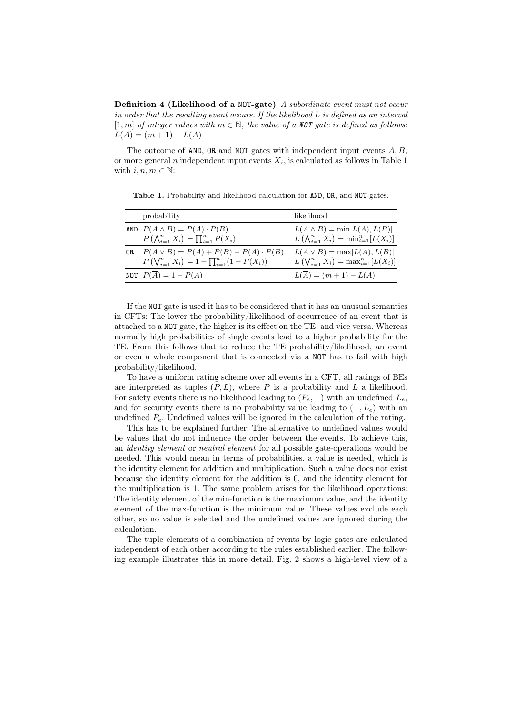Definition 4 (Likelihood of a NOT-gate) A subordinate event must not occur in order that the resulting event occurs. If the likelihood  $L$  is defined as an interval [1, m] of integer values with  $m \in \mathbb{N}$ , the value of a NOT gate is defined as follows:  $L(\overline{A}) = (m + 1) - L(A)$ 

The outcome of AND, OR and NOT gates with independent input events  $A, B$ , or more general *n* independent input events  $X_i$ , is calculated as follows in Table [1](#page-5-0) with  $i, n, m \in \mathbb{N}$ :

<span id="page-5-0"></span>Table 1. Probability and likelihood calculation for AND, OR, and NOT-gates.

|     | probability                                                   | likelihood                                             |
|-----|---------------------------------------------------------------|--------------------------------------------------------|
|     | AND $P(A \wedge B) = P(A) \cdot P(B)$                         | $L(A \wedge B) = \min[L(A), L(B)]$                     |
|     | $P(\bigwedge_{i=1}^{n} X_i) = \prod_{i=1}^{n} P(X_i)$         | $L(\bigwedge_{i=1}^{n} X_i) = \min_{i=1}^{n} [L(X_i)]$ |
| OR. | $P(A \vee B) = P(A) + P(B) - P(A) \cdot P(B)$                 | $L(A \vee B) = \max[L(A), L(B)]$                       |
|     | $P(\bigvee_{i=1}^{n} X_i) = 1 - \prod_{i=1}^{n} (1 - P(X_i))$ | $L(\bigvee_{i=1}^{n} X_i) = \max_{i=1}^{n} [L(X_i)]$   |
|     | NOT $P(\overline{A}) = 1 - P(A)$                              | $L(\overline{A}) = (m + 1) - L(A)$                     |

If the NOT gate is used it has to be considered that it has an unusual semantics in CFTs: The lower the probability/likelihood of occurrence of an event that is attached to a NOT gate, the higher is its effect on the TE, and vice versa. Whereas normally high probabilities of single events lead to a higher probability for the TE. From this follows that to reduce the TE probability/likelihood, an event or even a whole component that is connected via a NOT has to fail with high probability/likelihood.

To have a uniform rating scheme over all events in a CFT, all ratings of BEs are interpreted as tuples  $(P, L)$ , where P is a probability and L a likelihood. For safety events there is no likelihood leading to  $(P_e, -)$  with an undefined  $L_e$ , and for security events there is no probability value leading to  $(-, L_e)$  with an undefined  $P_e$ . Undefined values will be ignored in the calculation of the rating.

This has to be explained further: The alternative to undefined values would be values that do not influence the order between the events. To achieve this, an identity element or neutral element for all possible gate-operations would be needed. This would mean in terms of probabilities, a value is needed, which is the identity element for addition and multiplication. Such a value does not exist because the identity element for the addition is 0, and the identity element for the multiplication is 1. The same problem arises for the likelihood operations: The identity element of the min-function is the maximum value, and the identity element of the max-function is the minimum value. These values exclude each other, so no value is selected and the undefined values are ignored during the calculation.

The tuple elements of a combination of events by logic gates are calculated independent of each other according to the rules established earlier. The following example illustrates this in more detail. Fig. [2](#page-6-0) shows a high-level view of a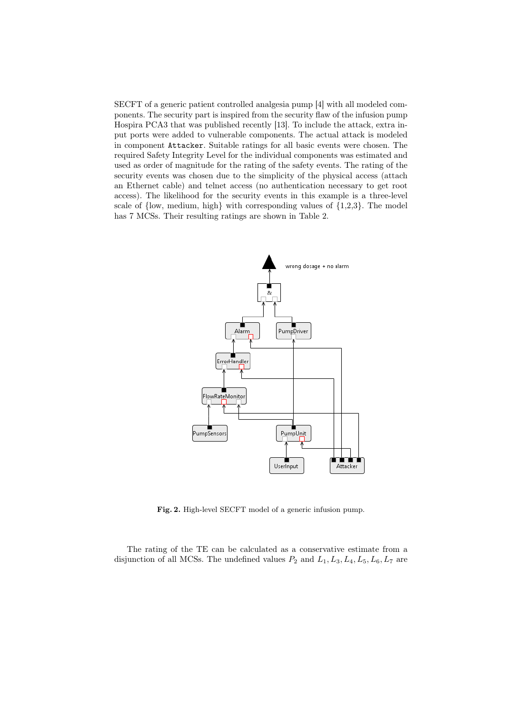SECFT of a generic patient controlled analgesia pump [\[4\]](#page-11-14) with all modeled components. The security part is inspired from the security flaw of the infusion pump Hospira PCA3 that was published recently [\[13\]](#page-11-15). To include the attack, extra input ports were added to vulnerable components. The actual attack is modeled in component Attacker. Suitable ratings for all basic events were chosen. The required Safety Integrity Level for the individual components was estimated and used as order of magnitude for the rating of the safety events. The rating of the security events was chosen due to the simplicity of the physical access (attach an Ethernet cable) and telnet access (no authentication necessary to get root access). The likelihood for the security events in this example is a three-level scale of  $\{low, medium, high\}$  with corresponding values of  $\{1,2,3\}$ . The model has 7 MCSs. Their resulting ratings are shown in Table [2.](#page-7-0)



<span id="page-6-0"></span>Fig. 2. High-level SECFT model of a generic infusion pump.

The rating of the TE can be calculated as a conservative estimate from a disjunction of all MCSs. The undefined values  $P_2$  and  $L_1, L_3, L_4, L_5, L_6, L_7$  are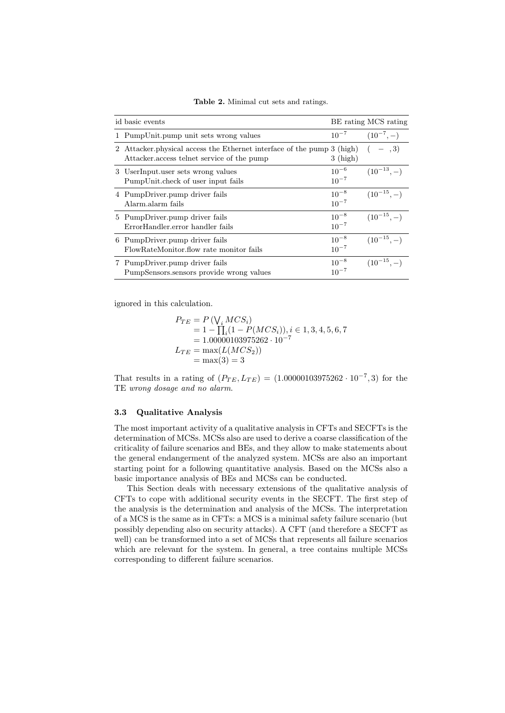| id basic events                                                                                                               |                        | BE rating MCS rating |
|-------------------------------------------------------------------------------------------------------------------------------|------------------------|----------------------|
| 1 PumpUnit.pump unit sets wrong values                                                                                        | $10^{-7}$              | $(10^{-7}, -)$       |
| 2 Attacker physical access the Ethernet interface of the pump 3 (high) $(-, 3)$<br>Attacker access telnet service of the pump | $3$ (high)             |                      |
| 3 UserInput.user sets wrong values<br>PumpUnit.check of user input fails                                                      | $10^{-6}$<br>$10^{-7}$ | $(10^{-13}, -)$      |
| 4 PumpDriver.pump driver fails<br>Alarm.alarm fails                                                                           | $10^{-8}$<br>$10^{-7}$ | $(10^{-15}, -)$      |
| 5 PumpDriver.pump driver fails<br>ErrorHandler.error handler fails                                                            | $10^{-8}$<br>$10^{-7}$ | $(10^{-15}, -)$      |
| 6 PumpDriver.pump driver fails<br>FlowRateMonitor.flow rate monitor fails                                                     | $10^{-8}$<br>$10^{-7}$ | $(10^{-15}, -)$      |
| 7 PumpDriver.pump driver fails<br>PumpSensors.sensors provide wrong values                                                    | $10^{-8}$<br>$10^{-7}$ | $(10^{-15}, -)$      |

<span id="page-7-0"></span>Table 2. Minimal cut sets and ratings.

ignored in this calculation.

$$
P_{TE} = P(V_i MCS_i)
$$
  
= 1 -  $\prod_i (1 - P(MCS_i)), i \in 1, 3, 4, 5, 6, 7$   
= 1.00000103975262 \cdot 10<sup>-7</sup>  

$$
L_{TE} = \max(L(MCS_2))
$$
  
= max(3) = 3

That results in a rating of  $(P_{TE}, L_{TE}) = (1.00000103975262 \cdot 10^{-7}, 3)$  for the TE wrong dosage and no alarm.

#### <span id="page-7-1"></span>3.3 Qualitative Analysis

The most important activity of a qualitative analysis in CFTs and SECFTs is the determination of MCSs. MCSs also are used to derive a coarse classification of the criticality of failure scenarios and BEs, and they allow to make statements about the general endangerment of the analyzed system. MCSs are also an important starting point for a following quantitative analysis. Based on the MCSs also a basic importance analysis of BEs and MCSs can be conducted.

This Section deals with necessary extensions of the qualitative analysis of CFTs to cope with additional security events in the SECFT. The first step of the analysis is the determination and analysis of the MCSs. The interpretation of a MCS is the same as in CFTs: a MCS is a minimal safety failure scenario (but possibly depending also on security attacks). A CFT (and therefore a SECFT as well) can be transformed into a set of MCSs that represents all failure scenarios which are relevant for the system. In general, a tree contains multiple MCSs corresponding to different failure scenarios.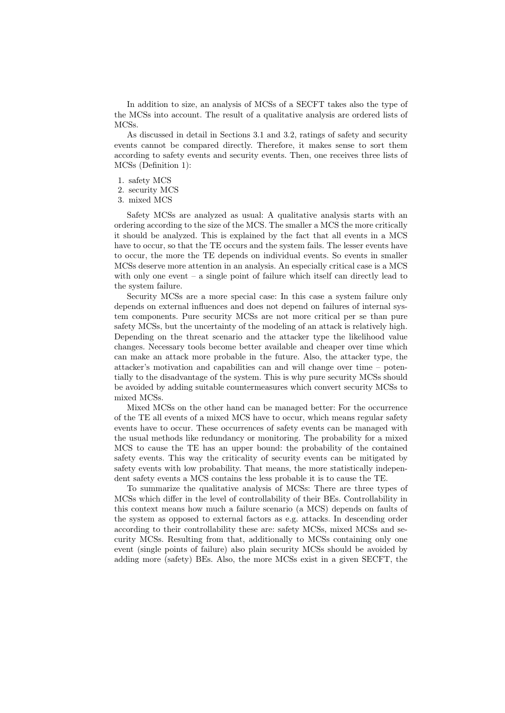In addition to size, an analysis of MCSs of a SECFT takes also the type of the MCSs into account. The result of a qualitative analysis are ordered lists of MCSs.

As discussed in detail in Sections [3.1](#page-2-0) and [3.2,](#page-4-0) ratings of safety and security events cannot be compared directly. Therefore, it makes sense to sort them according to safety events and security events. Then, one receives three lists of MCSs (Definition [1\)](#page-4-1):

- 1. safety MCS
- 2. security MCS
- 3. mixed MCS

Safety MCSs are analyzed as usual: A qualitative analysis starts with an ordering according to the size of the MCS. The smaller a MCS the more critically it should be analyzed. This is explained by the fact that all events in a MCS have to occur, so that the TE occurs and the system fails. The lesser events have to occur, the more the TE depends on individual events. So events in smaller MCSs deserve more attention in an analysis. An especially critical case is a MCS with only one event – a single point of failure which itself can directly lead to the system failure.

Security MCSs are a more special case: In this case a system failure only depends on external influences and does not depend on failures of internal system components. Pure security MCSs are not more critical per se than pure safety MCSs, but the uncertainty of the modeling of an attack is relatively high. Depending on the threat scenario and the attacker type the likelihood value changes. Necessary tools become better available and cheaper over time which can make an attack more probable in the future. Also, the attacker type, the attacker's motivation and capabilities can and will change over time – potentially to the disadvantage of the system. This is why pure security MCSs should be avoided by adding suitable countermeasures which convert security MCSs to mixed MCSs.

Mixed MCSs on the other hand can be managed better: For the occurrence of the TE all events of a mixed MCS have to occur, which means regular safety events have to occur. These occurrences of safety events can be managed with the usual methods like redundancy or monitoring. The probability for a mixed MCS to cause the TE has an upper bound: the probability of the contained safety events. This way the criticality of security events can be mitigated by safety events with low probability. That means, the more statistically independent safety events a MCS contains the less probable it is to cause the TE.

To summarize the qualitative analysis of MCSs: There are three types of MCSs which differ in the level of controllability of their BEs. Controllability in this context means how much a failure scenario (a MCS) depends on faults of the system as opposed to external factors as e.g. attacks. In descending order according to their controllability these are: safety MCSs, mixed MCSs and security MCSs. Resulting from that, additionally to MCSs containing only one event (single points of failure) also plain security MCSs should be avoided by adding more (safety) BEs. Also, the more MCSs exist in a given SECFT, the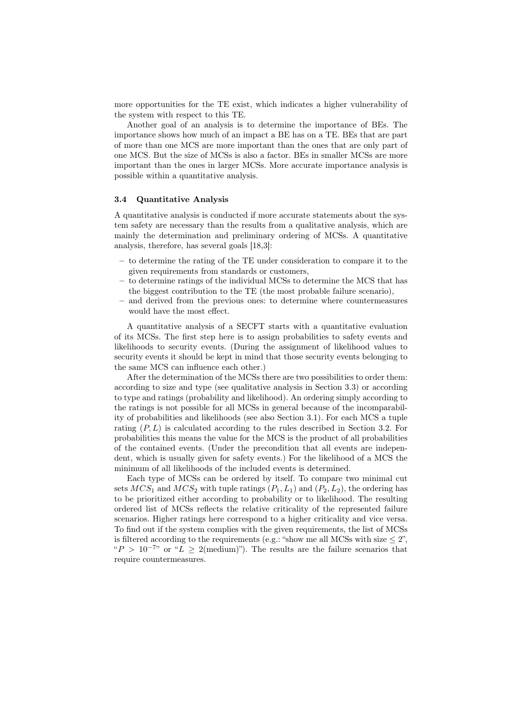more opportunities for the TE exist, which indicates a higher vulnerability of the system with respect to this TE.

Another goal of an analysis is to determine the importance of BEs. The importance shows how much of an impact a BE has on a TE. BEs that are part of more than one MCS are more important than the ones that are only part of one MCS. But the size of MCSs is also a factor. BEs in smaller MCSs are more important than the ones in larger MCSs. More accurate importance analysis is possible within a quantitative analysis.

## 3.4 Quantitative Analysis

A quantitative analysis is conducted if more accurate statements about the system safety are necessary than the results from a qualitative analysis, which are mainly the determination and preliminary ordering of MCSs. A quantitative analysis, therefore, has several goals [\[18,](#page-11-3)[3\]](#page-11-10):

- to determine the rating of the TE under consideration to compare it to the given requirements from standards or customers,
- to determine ratings of the individual MCSs to determine the MCS that has the biggest contribution to the TE (the most probable failure scenario),
- and derived from the previous ones: to determine where countermeasures would have the most effect.

A quantitative analysis of a SECFT starts with a quantitative evaluation of its MCSs. The first step here is to assign probabilities to safety events and likelihoods to security events. (During the assignment of likelihood values to security events it should be kept in mind that those security events belonging to the same MCS can influence each other.)

After the determination of the MCSs there are two possibilities to order them: according to size and type (see qualitative analysis in Section [3.3\)](#page-7-1) or according to type and ratings (probability and likelihood). An ordering simply according to the ratings is not possible for all MCSs in general because of the incomparability of probabilities and likelihoods (see also Section [3.1\)](#page-2-0). For each MCS a tuple rating  $(P, L)$  is calculated according to the rules described in Section [3.2.](#page-4-0) For probabilities this means the value for the MCS is the product of all probabilities of the contained events. (Under the precondition that all events are independent, which is usually given for safety events.) For the likelihood of a MCS the minimum of all likelihoods of the included events is determined.

Each type of MCSs can be ordered by itself. To compare two minimal cut sets  $MCS_1$  and  $MCS_2$  with tuple ratings  $(P_1, L_1)$  and  $(P_2, L_2)$ , the ordering has to be prioritized either according to probability or to likelihood. The resulting ordered list of MCSs reflects the relative criticality of the represented failure scenarios. Higher ratings here correspond to a higher criticality and vice versa. To find out if the system complies with the given requirements, the list of MCSs is filtered according to the requirements (e.g.: "show me all MCSs with size  $\leq 2$ ", " $P > 10^{-7}$ " or " $L \geq 2$ (medium)"). The results are the failure scenarios that require countermeasures.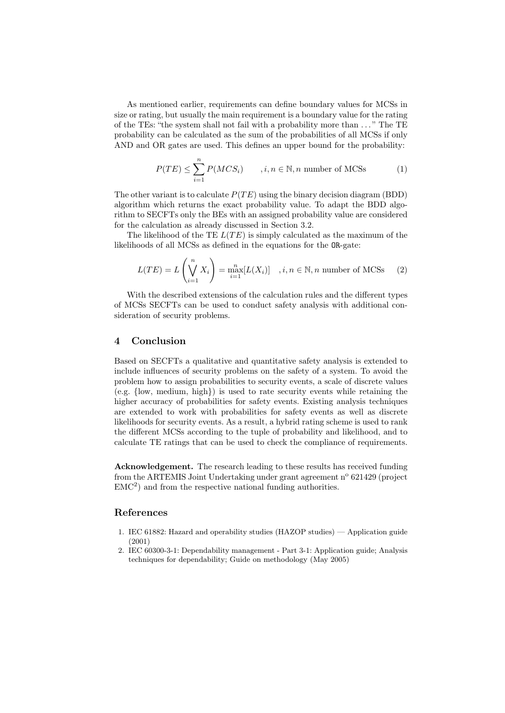As mentioned earlier, requirements can define boundary values for MCSs in size or rating, but usually the main requirement is a boundary value for the rating of the TEs: "the system shall not fail with a probability more than . . . " The TE probability can be calculated as the sum of the probabilities of all MCSs if only AND and OR gates are used. This defines an upper bound for the probability:

$$
P(TE) \le \sum_{i=1}^{n} P(MCS_i) \qquad , i, n \in \mathbb{N}, n \text{ number of MCSS} \tag{1}
$$

The other variant is to calculate  $P(TE)$  using the binary decision diagram (BDD) algorithm which returns the exact probability value. To adapt the BDD algorithm to SECFTs only the BEs with an assigned probability value are considered for the calculation as already discussed in Section [3.2.](#page-4-0)

The likelihood of the TE  $L(TE)$  is simply calculated as the maximum of the likelihoods of all MCSs as defined in the equations for the OR-gate:

$$
L(TE) = L\left(\bigvee_{i=1}^{n} X_i\right) = \max_{i=1}^{n} [L(X_i)] \quad , i, n \in \mathbb{N}, n \text{ number of MCSS} \tag{2}
$$

With the described extensions of the calculation rules and the different types of MCSs SECFTs can be used to conduct safety analysis with additional consideration of security problems.

# 4 Conclusion

Based on SECFTs a qualitative and quantitative safety analysis is extended to include influences of security problems on the safety of a system. To avoid the problem how to assign probabilities to security events, a scale of discrete values (e.g. {low, medium, high}) is used to rate security events while retaining the higher accuracy of probabilities for safety events. Existing analysis techniques are extended to work with probabilities for safety events as well as discrete likelihoods for security events. As a result, a hybrid rating scheme is used to rank the different MCSs according to the tuple of probability and likelihood, and to calculate TE ratings that can be used to check the compliance of requirements.

Acknowledgement. The research leading to these results has received funding from the ARTEMIS Joint Undertaking under grant agreement  $n^{\circ}$  621429 (project EMC<sup>2</sup> ) and from the respective national funding authorities.

### References

- <span id="page-10-1"></span>1. IEC 61882: Hazard and operability studies (HAZOP studies) — Application guide (2001)
- <span id="page-10-0"></span>2. IEC 60300-3-1: Dependability management - Part 3-1: Application guide; Analysis techniques for dependability; Guide on methodology (May 2005)